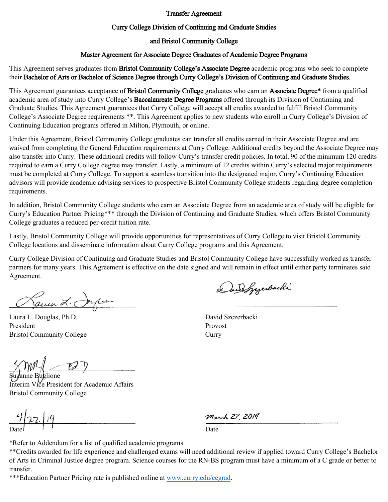#### Transfer Agreement

### Curry College Division of Continuing and Graduate Studies

### and Bristol Community College

### Master Agreement for Associate Degree Graduates of Academic Degree Programs

This Agreement serves graduates from Bristol Community College's Associate Degree academic programs who seek to complete their Bachelor of Arts or Bachelor of Science Degree through Curry College's Division of Continuing and Graduate Studies.

This Agreement guarantees acceptance of Bristol Community College graduates who earn an Associate Degree\* from a qualified academic area of study into Curry College's Baccalaureate Degree Programs offered through its Division of Continuing and Graduate Studies. This Agreement guarantees that Curry College will accept all credits awarded to fulfill Bristol Community College's Associate Degree requirements \*\*. This Agreement applies to new students who enroll in Curry College's Division of Continuing Education programs offered in Milton, Plymouth, or online.

Under this Agreement, Bristol Community College graduates can transfer all credits earned in their Associate Degree and are waived from completing the General Education requirements at Curry College. Additional credits beyond the Associate Degree may also transfer into Curry. These additional credits will follow Curry's transfer credit policies. In total, 90 of the minimum 120 credits required to earn a Curry College degree may transfer. Lastly, a minimum of 12 credits within Curry's selected major requirements must be completed at Curry College. To support a seamless transition into the designated major, Curry's Continuing Education advisors will provide academic advising services to prospective Bristol Community College students regarding degree completion requirements.

In addition, Bristol Community College students who earn an Associate Degree from an academic area of study will be eligible for Curry's Education Partner Pricing\*\*\* through the Division of Continuing and Graduate Studies, which offers Bristol Community College graduates a reduced per-credit tuition rate.

Lastly, Bristol Community College will provide opportunities for representatives of Curry College to visit Bristol Community College locations and disseminate information about Curry College programs and this Agreement.

Curry College Division of Continuing and Graduate Studies and Bristol Community College have successfully worked as transfer partners for many years. This Agreement is effective on the date signed and will remain in effect until either party terminates said Agreement.

James L. Joycon

Laura L. Douglas, Ph.D. President Bristol Community College

 $E$ 

anne Buglione Interim Vice President for Academic Affairs Bristol Community College

 $422|19$ Date

Dundgezerbachi

David Szczerbacki Provost **Curry** 

March 27, 2019

Date

\*Refer to Addendum for a list of qualified academic programs.

\*\*Credits awarded for life experience and challenged exams will need additional review if applied toward Curry College's Bachelor of Arts in Criminal Justice degree program. Science courses for the RN-BS program must have a minimum of a C grade or better to transfer.

\*\*\*Education Partner Pricing rate is published online at [www.curry.edu/cegrad.](http://www.curry.edu/cegrad)